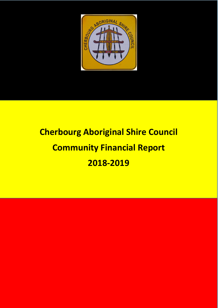

# **Cherbourg Aboriginal Shire Council Community Financial Report 2018-2019**

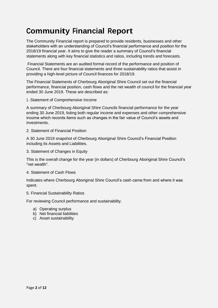## **Community Financial Report**

The Community Financial report is prepared to provide residents, businesses and other stakeholders with an understanding of Council's financial performance and position for the 2018/19 financial year. It aims to give the reader a summary of Council's financial statements along with key financial statistics and ratios, including trends and forecasts.

Financial Statements are an audited formal record of the performance and position of Council. There are four financial statements and three sustainability ratios that assist in providing a high-level picture of Council finances for 2018/19.

The Financial Statements of Cherbourg Aboriginal Shire Council set out the financial performance, financial position, cash flows and the net wealth of council for the financial year ended 30 June 2019. These are described as:

1. Statement of Comprehensive Income

A summary of Cherbourg Aboriginal Shire Councils financial performance for the year ending 30 June 2019, listing both regular income and expenses and other comprehensive income which records items such as changes in the fair value of Council's assets and investments.

2. Statement of Financial Position

A 30 June 2019 snapshot of Cherbourg Aboriginal Shire Council's Financial Position including its Assets and Liabilities.

3. Statement of Changes in Equity

This is the overall change for the year (in dollars) of Cherbourg Aboriginal Shire Council's "net wealth".

4. Statement of Cash Flows

Indicates where Cherbourg Aboriginal Shire Council's cash came from and where it was spent.

5. Financial Sustainability Ratios

For reviewing Council performance and sustainability.

- a) Operating surplus
- b) Net financial liabilities
- c) Asset sustainability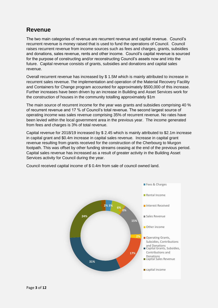#### **Revenue**

The two main categories of revenue are recurrent revenue and capital revenue. Council's recurrent revenue is money raised that is used to fund the operations of Council. Council raises recurrent revenue from income sources such as fees and charges, grants, subsidies and donations, sales revenue, rents and other income. Council's capital revenue is sourced for the purpose of constructing and/or reconstructing Council's assets now and into the future. Capital revenue consists of grants, subsidies and donations and capital sales revenue.

Overall recurrent revenue has increased by \$ 1.5M which is mainly attributed to increase in recurrent sales revenue. The implementation and operation of the Material Recovery Facility and Containers for Change program accounted for approximately \$500,000 of this increase. Further increases have been driven by an increase in Building and Asset Services work for the construction of houses in the community totalling approximately \$1m

The main source of recurrent income for the year was grants and subsidies comprising 40 % of recurrent revenue and 17 % of Council's total revenue. The second largest source of operating income was sales revenue comprising 35% of recurrent revenue. No rates have been levied within the local government area in the previous year. The income generated from fees and charges is 3% of total revenue.

Capital revenue for 2018/19 increased by \$ 2.45 which is mainly attributed to \$2.1m increase in capital grant and \$0.4m increase in capital sales revenue. Increase in capital grant revenue resulting from grants received for the construction of the Cherbourg to Murgon footpath. This was offset by other funding streams ceasing at the end of the previous period. Capital sales revenue has increased as a result of greater activity in the Building Asset Services activity for Council during the year.

Council received capital income of \$ 0.4m from sale of council owned land.

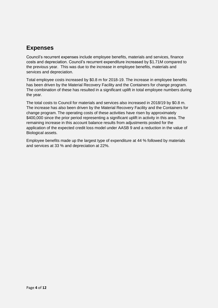## **Expenses**

Council's recurrent expenses include employee benefits, materials and services, finance costs and depreciation. Council's recurrent expenditure increased by \$1.71M compared to the previous year. This was due to the increase in employee benefits, materials and services and depreciation.

Total employee costs increased by \$0.8 m for 2018-19. The increase in employee benefits has been driven by the Material Recovery Facility and the Containers for change program. The combination of these has resulted in a significant uplift in total employee numbers during the year.

The total costs to Council for materials and services also increased in 2018/19 by \$0.8 m. The increase has also been driven by the Material Recovery Facility and the Containers for change program. The operating costs of these activities have risen by approximately \$400,000 since the prior period representing a significant uplift in activity in this area. The remaining increase in this account balance results from adjustments posted for the application of the expected credit loss model under AASB 9 and a reduction in the value of Biological assets.

Employee benefits made up the largest type of expenditure at 44 % followed by materials and services at 33 % and depreciation at 22%.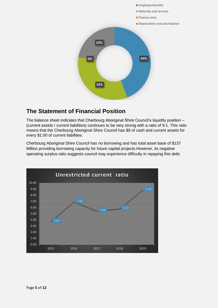

#### **The Statement of Financial Position**

The balance sheet indicates that Cherbourg Aboriginal Shire Council's liquidity position – (current assets / current liabilities) continues to be very strong with a ratio of 9:1. This ratio means that the Cherbourg Aboriginal Shire Council has \$9 of cash and current assets for every \$1.00 of current liabilities.

Cherbourg Aboriginal Shire Council has no borrowing and has total asset base of \$137 Million providing borrowing capacity for future capital projects.However, its negative operating surplus ratio suggests council may experience difficulty in repaying this debt.

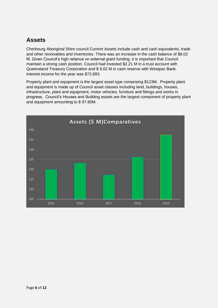### **Assets**

Cherbourg Aboriginal Shire council Current Assets include cash and cash equivalents, trade and other receivables and inventories. There was an increase in the cash balance of \$6.02 M. Given Council's high reliance on external grant funding, it is important that Council maintain a strong cash position. Council had invested \$2.21 M in a trust account with Queensland Treasury Corporation and \$ 9.02 M in cash reserve with Westpac Bank. Interest income for the year was \$72,893.

Property plant and equipment is the largest asset type comprising \$123M. Property plant and equipment is made up of Council asset classes including land, buildings, houses, infrastructure, plant and equipment, motor vehicles, furniture and fittings and works in progress. Council's Houses and Building assets are the largest component of property plant and equipment amounting to \$ 97.80M.

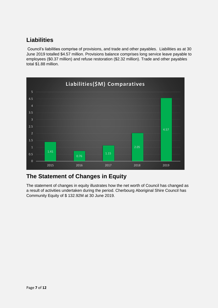## **Liabilities**

Council's liabilities comprise of provisions, and trade and other payables. Liabilities as at 30 June 2019 totalled \$4.57 million. Provisions balance comprises long service leave payable to employees (\$0.37 million) and refuse restoration (\$2.32 million). Trade and other payables total \$1.88 million.



#### **The Statement of Changes in Equity**

The statement of changes in equity illustrates how the net worth of Council has changed as a result of activities undertaken during the period. Cherbourg Aboriginal Shire Council has Community Equity of \$ 132.92M at 30 June 2019.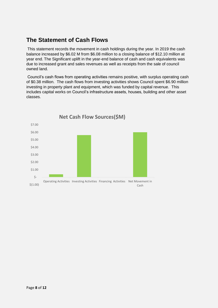#### **The Statement of Cash Flows**

This statement records the movement in cash holdings during the year. In 2019 the cash balance increased by \$6.02 M from \$6.08 million to a closing balance of \$12.10 million at year end. The Significant uplift in the year-end balance of cash and cash equivalents was due to increased grant and sales revenues as well as receipts from the sale of council owned land.

Council's cash flows from operating activities remains positive, with surplus operating cash of \$0.38 million. The cash flows from investing activities shows Council spent \$6.90 million investing in property plant and equipment, which was funded by capital revenue. This includes capital works on Council's infrastructure assets, houses, building and other asset classes.

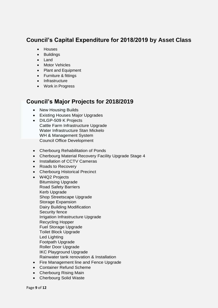### **Council's Capital Expenditure for 2018/2019 by Asset Class**

- Houses
- Buildings
- Land
- Motor Vehicles
- Plant and Equipment
- Furniture & fittings
- Infrastructure
- Work in Progress

#### **Council's Major Projects for 2018/2019**

- New Housing Builds
- Existing Houses Major Upgrades
- DILGP-509 K Projects Cattle Farm Infrastructure Upgrade Water Infrastructure Stan Mickelo WH & Management System Council Office Development
- Cherbourg Rehabilitation of Ponds
- Cherbourg Material Recovery Facility Upgrade Stage 4
- Installation of CCTV Cameras
- Roads to Recovery
- Cherbourg Historical Precinct
- W4Q2 Projects Bitumising Upgrade Road Safety Barriers Kerb Upgrade Shop Streetscape Upgrade Storage Expansion Dairy Building Modification Security fence Irrigation Infrastructure Upgrade Recycling Hopper Fuel Storage Upgrade Toilet Block Upgrade Led Lighting Footpath Upgrade Roller Door Upgrade IKC Playground Upgrade Rainwater tank renovation & Installation
- Fire Management line and Fence Upgrade
- Container Refund Scheme
- Cherbourg Rising Main
- Cherbourg Solid Waste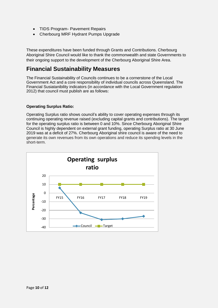- TIDS Program- Pavement Repairs
- Cherbourg MRF Hydrant Pumps Upgrade

These expenditures have been funded through Grants and Contributions. Cherbourg Aboriginal Shire Council would like to thank the commonwealth and state Governments to their ongoing support to the development of the Cherbourg Aboriginal Shire Area.

#### **Financial Sustainability Measures**

The Financial Sustainability of Councils continues to be a cornerstone of the Local Government Act and a core responsibility of individual councils across Queensland. The Financial Susiatanibility indicators (in accordance with the Local Government regulation 2012) that council must publish are as follows:

#### **Operating Surplus Ratio:**

Operating Surplus ratio shows council's ability to cover operating expenses through its continuing operating revenue raised (excluding capital grants and contributions). The target for the operating surplus ratio is between 0 and 10%. Since Cherbourg Aboriginal Shire Council is highly dependent on external grant funding, operating Surplus ratio at 30 June 2019 was at a deficit of 27%. Cherbourg Aboriginal shire council is aware of the need to generate its own revenues from its own operations and reduce its spending levels in the short-term.

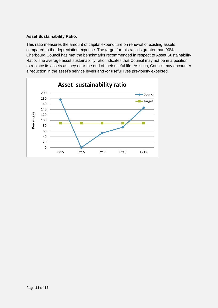#### **Asset Sustainability Ratio:**

This ratio measures the amount of capital expenditure on renewal of existing assets compared to the depreciation expense. The target for this ratio is greater than 90%. Cherbourg Council has met the benchmarks recommended in respect to Asset Sustainability Ratio. The average asset sustainability ratio indicates that Council may not be in a position to replace its assets as they near the end of their useful life. As such, Council may encounter a reduction in the asset's service levels and /or useful lives previously expected.